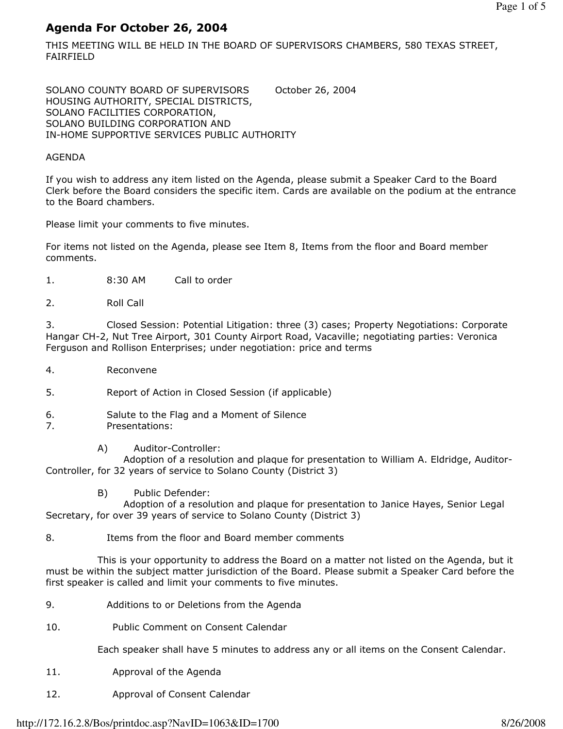# Agenda For October 26, 2004

THIS MEETING WILL BE HELD IN THE BOARD OF SUPERVISORS CHAMBERS, 580 TEXAS STREET, FAIRFIELD

SOLANO COUNTY BOARD OF SUPERVISORS October 26, 2004 HOUSING AUTHORITY, SPECIAL DISTRICTS, SOLANO FACILITIES CORPORATION, SOLANO BUILDING CORPORATION AND IN-HOME SUPPORTIVE SERVICES PUBLIC AUTHORITY

#### AGENDA

If you wish to address any item listed on the Agenda, please submit a Speaker Card to the Board Clerk before the Board considers the specific item. Cards are available on the podium at the entrance to the Board chambers.

Please limit your comments to five minutes.

For items not listed on the Agenda, please see Item 8, Items from the floor and Board member comments.

- 1. 8:30 AM Call to order
- 2. Roll Call

3. Closed Session: Potential Litigation: three (3) cases; Property Negotiations: Corporate Hangar CH-2, Nut Tree Airport, 301 County Airport Road, Vacaville; negotiating parties: Veronica Ferguson and Rollison Enterprises; under negotiation: price and terms

- 4. Reconvene
- 5. Report of Action in Closed Session (if applicable)
- 6. Salute to the Flag and a Moment of Silence
- 7. Presentations:
	- A) Auditor-Controller:

 Adoption of a resolution and plaque for presentation to William A. Eldridge, Auditor-Controller, for 32 years of service to Solano County (District 3)

B) Public Defender:

 Adoption of a resolution and plaque for presentation to Janice Hayes, Senior Legal Secretary, for over 39 years of service to Solano County (District 3)

8. Items from the floor and Board member comments

 This is your opportunity to address the Board on a matter not listed on the Agenda, but it must be within the subject matter jurisdiction of the Board. Please submit a Speaker Card before the first speaker is called and limit your comments to five minutes.

- 9. Additions to or Deletions from the Agenda
- 10. Public Comment on Consent Calendar

Each speaker shall have 5 minutes to address any or all items on the Consent Calendar.

- 11. Approval of the Agenda
- 12. Approval of Consent Calendar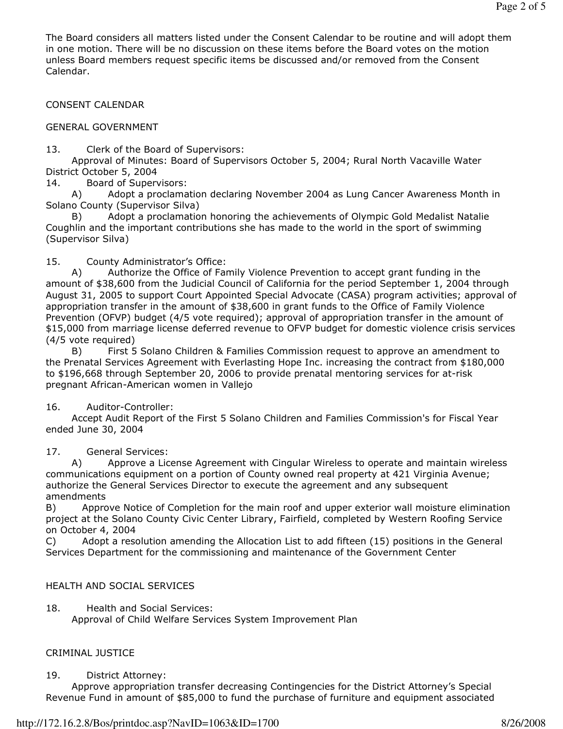The Board considers all matters listed under the Consent Calendar to be routine and will adopt them in one motion. There will be no discussion on these items before the Board votes on the motion unless Board members request specific items be discussed and/or removed from the Consent Calendar.

CONSENT CALENDAR

GENERAL GOVERNMENT

13. Clerk of the Board of Supervisors:

 Approval of Minutes: Board of Supervisors October 5, 2004; Rural North Vacaville Water District October 5, 2004

14. Board of Supervisors:

 A) Adopt a proclamation declaring November 2004 as Lung Cancer Awareness Month in Solano County (Supervisor Silva)

 B) Adopt a proclamation honoring the achievements of Olympic Gold Medalist Natalie Coughlin and the important contributions she has made to the world in the sport of swimming (Supervisor Silva)

15. County Administrator's Office:

 A) Authorize the Office of Family Violence Prevention to accept grant funding in the amount of \$38,600 from the Judicial Council of California for the period September 1, 2004 through August 31, 2005 to support Court Appointed Special Advocate (CASA) program activities; approval of appropriation transfer in the amount of \$38,600 in grant funds to the Office of Family Violence Prevention (OFVP) budget (4/5 vote required); approval of appropriation transfer in the amount of \$15,000 from marriage license deferred revenue to OFVP budget for domestic violence crisis services (4/5 vote required)

 B) First 5 Solano Children & Families Commission request to approve an amendment to the Prenatal Services Agreement with Everlasting Hope Inc. increasing the contract from \$180,000 to \$196,668 through September 20, 2006 to provide prenatal mentoring services for at-risk pregnant African-American women in Vallejo

### 16. Auditor-Controller:

 Accept Audit Report of the First 5 Solano Children and Families Commission's for Fiscal Year ended June 30, 2004

17. General Services:

 A) Approve a License Agreement with Cingular Wireless to operate and maintain wireless communications equipment on a portion of County owned real property at 421 Virginia Avenue; authorize the General Services Director to execute the agreement and any subsequent amendments

B) Approve Notice of Completion for the main roof and upper exterior wall moisture elimination project at the Solano County Civic Center Library, Fairfield, completed by Western Roofing Service on October 4, 2004

C) Adopt a resolution amending the Allocation List to add fifteen (15) positions in the General Services Department for the commissioning and maintenance of the Government Center

### HEALTH AND SOCIAL SERVICES

18. Health and Social Services:

Approval of Child Welfare Services System Improvement Plan

#### CRIMINAL JUSTICE

#### 19. District Attorney:

 Approve appropriation transfer decreasing Contingencies for the District Attorney's Special Revenue Fund in amount of \$85,000 to fund the purchase of furniture and equipment associated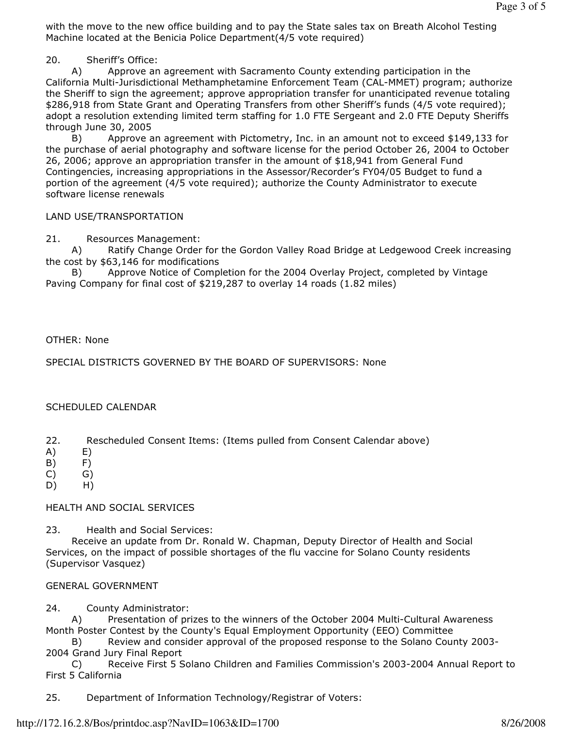with the move to the new office building and to pay the State sales tax on Breath Alcohol Testing Machine located at the Benicia Police Department(4/5 vote required)

20. Sheriff's Office:

 A) Approve an agreement with Sacramento County extending participation in the California Multi-Jurisdictional Methamphetamine Enforcement Team (CAL-MMET) program; authorize the Sheriff to sign the agreement; approve appropriation transfer for unanticipated revenue totaling \$286,918 from State Grant and Operating Transfers from other Sheriff's funds (4/5 vote required); adopt a resolution extending limited term staffing for 1.0 FTE Sergeant and 2.0 FTE Deputy Sheriffs through June 30, 2005

 B) Approve an agreement with Pictometry, Inc. in an amount not to exceed \$149,133 for the purchase of aerial photography and software license for the period October 26, 2004 to October 26, 2006; approve an appropriation transfer in the amount of \$18,941 from General Fund Contingencies, increasing appropriations in the Assessor/Recorder's FY04/05 Budget to fund a portion of the agreement (4/5 vote required); authorize the County Administrator to execute software license renewals

### LAND USE/TRANSPORTATION

21. Resources Management:

 A) Ratify Change Order for the Gordon Valley Road Bridge at Ledgewood Creek increasing the cost by \$63,146 for modifications

 B) Approve Notice of Completion for the 2004 Overlay Project, completed by Vintage Paving Company for final cost of \$219,287 to overlay 14 roads (1.82 miles)

## OTHER: None

SPECIAL DISTRICTS GOVERNED BY THE BOARD OF SUPERVISORS: None

### SCHEDULED CALENDAR

- 22. Rescheduled Consent Items: (Items pulled from Consent Calendar above)
- A) E)
- B) F)
- C) G)
- D) H)

### HEALTH AND SOCIAL SERVICES

23. Health and Social Services:

 Receive an update from Dr. Ronald W. Chapman, Deputy Director of Health and Social Services, on the impact of possible shortages of the flu vaccine for Solano County residents (Supervisor Vasquez)

### GENERAL GOVERNMENT

24. County Administrator:

 A) Presentation of prizes to the winners of the October 2004 Multi-Cultural Awareness Month Poster Contest by the County's Equal Employment Opportunity (EEO) Committee

 B) Review and consider approval of the proposed response to the Solano County 2003- 2004 Grand Jury Final Report

 C) Receive First 5 Solano Children and Families Commission's 2003-2004 Annual Report to First 5 California

25. Department of Information Technology/Registrar of Voters: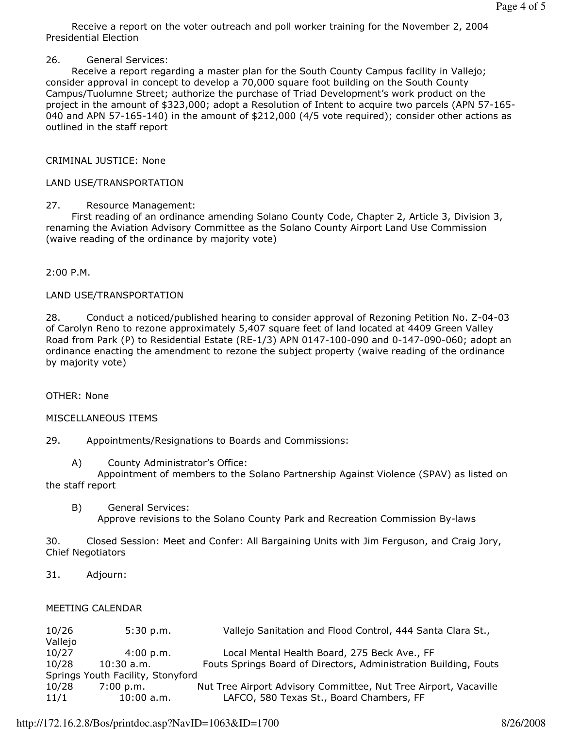Receive a report on the voter outreach and poll worker training for the November 2, 2004 Presidential Election

26. General Services:

 Receive a report regarding a master plan for the South County Campus facility in Vallejo; consider approval in concept to develop a 70,000 square foot building on the South County Campus/Tuolumne Street; authorize the purchase of Triad Development's work product on the project in the amount of \$323,000; adopt a Resolution of Intent to acquire two parcels (APN 57-165- 040 and APN 57-165-140) in the amount of \$212,000 (4/5 vote required); consider other actions as outlined in the staff report

CRIMINAL JUSTICE: None

# LAND USE/TRANSPORTATION

# 27. Resource Management:

 First reading of an ordinance amending Solano County Code, Chapter 2, Article 3, Division 3, renaming the Aviation Advisory Committee as the Solano County Airport Land Use Commission (waive reading of the ordinance by majority vote)

2:00 P.M.

### LAND USE/TRANSPORTATION

28. Conduct a noticed/published hearing to consider approval of Rezoning Petition No. Z-04-03 of Carolyn Reno to rezone approximately 5,407 square feet of land located at 4409 Green Valley Road from Park (P) to Residential Estate (RE-1/3) APN 0147-100-090 and 0-147-090-060; adopt an ordinance enacting the amendment to rezone the subject property (waive reading of the ordinance by majority vote)

OTHER: None

### MISCELLANEOUS ITEMS

29. Appointments/Resignations to Boards and Commissions:

A) County Administrator's Office:

 Appointment of members to the Solano Partnership Against Violence (SPAV) as listed on the staff report

 B) General Services: Approve revisions to the Solano County Park and Recreation Commission By-laws

30. Closed Session: Meet and Confer: All Bargaining Units with Jim Ferguson, and Craig Jory, Chief Negotiators

31. Adjourn:

### MEETING CALENDAR

| 10/26                             | 5:30 p.m.    | Vallejo Sanitation and Flood Control, 444 Santa Clara St.,       |
|-----------------------------------|--------------|------------------------------------------------------------------|
| Vallejo                           |              |                                                                  |
| 10/27                             | 4:00 p.m.    | Local Mental Health Board, 275 Beck Ave., FF                     |
| 10/28                             | $10:30$ a.m. | Fouts Springs Board of Directors, Administration Building, Fouts |
| Springs Youth Facility, Stonyford |              |                                                                  |
| 10/28                             | 7:00 p.m.    | Nut Tree Airport Advisory Committee, Nut Tree Airport, Vacaville |
| 11/1                              | $10:00$ a.m. | LAFCO, 580 Texas St., Board Chambers, FF                         |